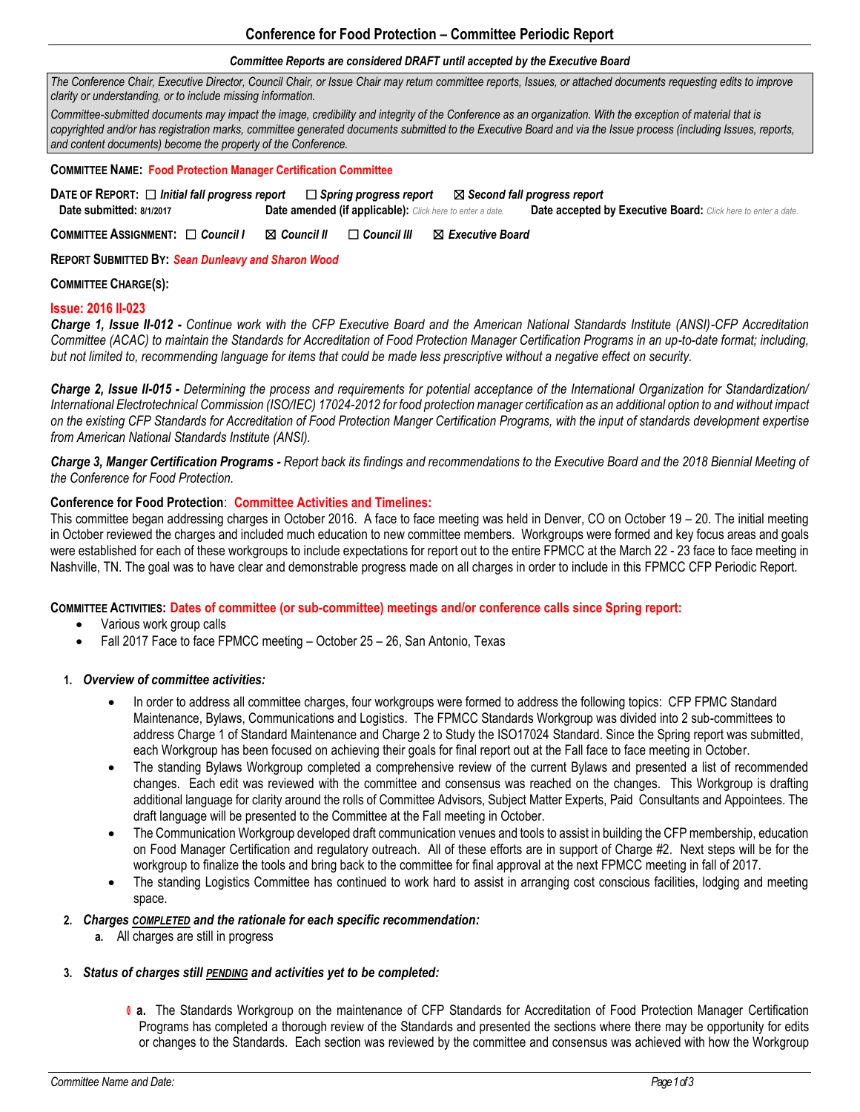# **Conference for Food Protection – Committee Periodic Report**

#### *Committee Reports are considered DRAFT until accepted by the Executive Board*

*The Conference Chair, Executive Director, Council Chair, or Issue Chair may return committee reports, Issues, or attached documents requesting edits to improve clarity or understanding, or to include missing information.* 

*Committee-submitted documents may impact the image, credibility and integrity of the Conference as an organization. With the exception of material that is copyrighted and/or has registration marks, committee generated documents submitted to the Executive Board and via the Issue process (including Issues, reports, and content documents) become the property of the Conference.*

#### **COMMITTEE NAME: Food Protection Manager Certification Committee**

| DATE OF REPORT: $\Box$ Initial fall progress report |                                                                  | $\Box$ Spring progress report $\quad \boxtimes$ Second fall progress report |
|-----------------------------------------------------|------------------------------------------------------------------|-----------------------------------------------------------------------------|
| Date submitted: 8/1/2017                            | <b>Date amended (if applicable):</b> Click here to enter a date. | <b>Date accepted by Executive Board:</b> Click here to enter a date.        |

**COMMITTEE ASSIGNMENT:** ☐ *Council I* ☒ *Council II* ☐ *Council III* ☒ *Executive Board* 

**REPORT SUBMITTED BY:** *Sean Dunleavy and Sharon Wood* 

#### **COMMITTEE CHARGE(S):**

#### **Issue: 2016 II-023**

*Charge 1, Issue II-012 - Continue work with the CFP Executive Board and the American National Standards Institute (ANSI)-CFP Accreditation Committee (ACAC) to maintain the Standards for Accreditation of Food Protection Manager Certification Programs in an up-to-date format; including, but not limited to, recommending language for items that could be made less prescriptive without a negative effect on security.*

*Charge 2, Issue II-015 - Determining the process and requirements for potential acceptance of the International Organization for Standardization/ International Electrotechnical Commission (ISO/IEC) 17024-2012 for food protection manager certification as an additional option to and without impact on the existing CFP Standards for Accreditation of Food Protection Manger Certification Programs, with the input of standards development expertise from American National Standards Institute (ANSI).*

*Charge 3, Manger Certification Programs - Report back its findings and recommendations to the Executive Board and the 2018 Biennial Meeting of the Conference for Food Protection.*

## **Conference for Food Protection**: **Committee Activities and Timelines:**

This committee began addressing charges in October 2016. A face to face meeting was held in Denver, CO on October 19 – 20. The initial meeting in October reviewed the charges and included much education to new committee members. Workgroups were formed and key focus areas and goals were established for each of these workgroups to include expectations for report out to the entire FPMCC at the March 22 - 23 face to face meeting in Nashville, TN. The goal was to have clear and demonstrable progress made on all charges in order to include in this FPMCC CFP Periodic Report.

**COMMITTEE ACTIVITIES: Dates of committee (or sub-committee) meetings and/or conference calls since Spring report:**

- Various work group calls
- Fall 2017 Face to face FPMCC meeting October 25 26, San Antonio, Texas

## **1.** *Overview of committee activities:*

- In order to address all committee charges, four workgroups were formed to address the following topics: CFP FPMC Standard Maintenance, Bylaws, Communications and Logistics. The FPMCC Standards Workgroup was divided into 2 sub-committees to address Charge 1 of Standard Maintenance and Charge 2 to Study the ISO17024 Standard. Since the Spring report was submitted, each Workgroup has been focused on achieving their goals for final report out at the Fall face to face meeting in October.
- The standing Bylaws Workgroup completed a comprehensive review of the current Bylaws and presented a list of recommended changes. Each edit was reviewed with the committee and consensus was reached on the changes. This Workgroup is drafting additional language for clarity around the rolls of Committee Advisors, Subject Matter Experts, Paid Consultants and Appointees. The draft language will be presented to the Committee at the Fall meeting in October.
- The Communication Workgroup developed draft communication venues and tools to assist in building the CFP membership, education on Food Manager Certification and regulatory outreach. All of these efforts are in support of Charge #2. Next steps will be for the workgroup to finalize the tools and bring back to the committee for final approval at the next FPMCC meeting in fall of 2017.
- The standing Logistics Committee has continued to work hard to assist in arranging cost conscious facilities, lodging and meeting space.

#### **2.** *Charges COMPLETED and the rationale for each specific recommendation:*

**a.** All charges are still in progress

#### **3.** *Status of charges still PENDING and activities yet to be completed:*

 **a.** The Standards Workgroup on the maintenance of CFP Standards for Accreditation of Food Protection Manager Certification Programs has completed a thorough review of the Standards and presented the sections where there may be opportunity for edits or changes to the Standards. Each section was reviewed by the committee and consensus was achieved with how the Workgroup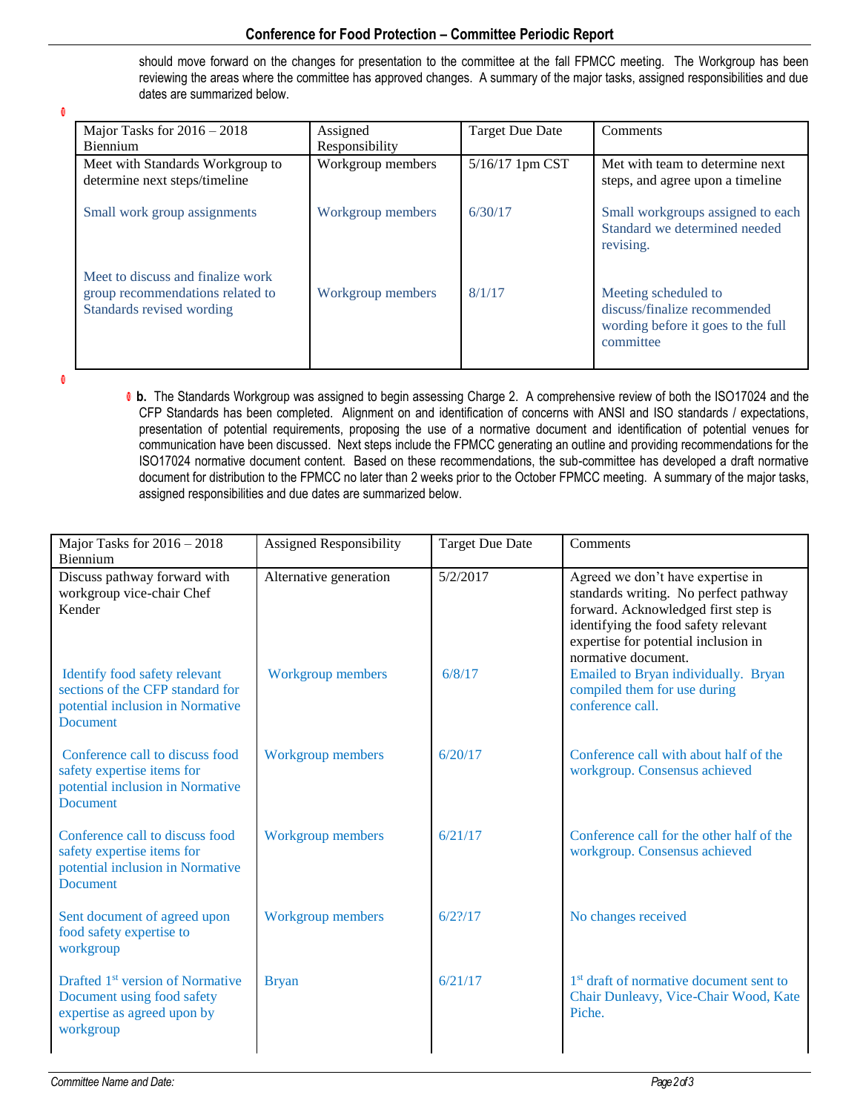# **Conference for Food Protection – Committee Periodic Report**

should move forward on the changes for presentation to the committee at the fall FPMCC meeting. The Workgroup has been reviewing the areas where the committee has approved changes. A summary of the major tasks, assigned responsibilities and due dates are summarized below.

0

| Major Tasks for $2016 - 2018$                                                                      | Assigned          | <b>Target Due Date</b> | Comments                                                                                                |
|----------------------------------------------------------------------------------------------------|-------------------|------------------------|---------------------------------------------------------------------------------------------------------|
| <b>Biennium</b>                                                                                    | Responsibility    |                        |                                                                                                         |
| Meet with Standards Workgroup to<br>determine next steps/timeline                                  | Workgroup members | 5/16/17 1pm CST        | Met with team to determine next<br>steps, and agree upon a timeline                                     |
| Small work group assignments                                                                       | Workgroup members | 6/30/17                | Small workgroups assigned to each<br>Standard we determined needed<br>revising.                         |
| Meet to discuss and finalize work<br>group recommendations related to<br>Standards revised wording | Workgroup members | 8/1/17                 | Meeting scheduled to<br>discuss/finalize recommended<br>wording before it goes to the full<br>committee |

6

 **b.** The Standards Workgroup was assigned to begin assessing Charge 2. A comprehensive review of both the ISO17024 and the CFP Standards has been completed. Alignment on and identification of concerns with ANSI and ISO standards / expectations, presentation of potential requirements, proposing the use of a normative document and identification of potential venues for communication have been discussed. Next steps include the FPMCC generating an outline and providing recommendations for the ISO17024 normative document content. Based on these recommendations, the sub-committee has developed a draft normative document for distribution to the FPMCC no later than 2 weeks prior to the October FPMCC meeting. A summary of the major tasks, assigned responsibilities and due dates are summarized below.

| Major Tasks for $2016 - 2018$<br>Biennium                                                                                | Assigned Responsibility  | <b>Target Due Date</b> | Comments                                                                                                                                                                                                                 |
|--------------------------------------------------------------------------------------------------------------------------|--------------------------|------------------------|--------------------------------------------------------------------------------------------------------------------------------------------------------------------------------------------------------------------------|
| Discuss pathway forward with<br>workgroup vice-chair Chef<br>Kender                                                      | Alternative generation   | 5/2/2017               | Agreed we don't have expertise in<br>standards writing. No perfect pathway<br>forward. Acknowledged first step is<br>identifying the food safety relevant<br>expertise for potential inclusion in<br>normative document. |
| Identify food safety relevant<br>sections of the CFP standard for<br>potential inclusion in Normative<br><b>Document</b> | Workgroup members        | 6/8/17                 | Emailed to Bryan individually. Bryan<br>compiled them for use during<br>conference call.                                                                                                                                 |
| Conference call to discuss food<br>safety expertise items for<br>potential inclusion in Normative<br><b>Document</b>     | Workgroup members        | 6/20/17                | Conference call with about half of the<br>workgroup. Consensus achieved                                                                                                                                                  |
| Conference call to discuss food<br>safety expertise items for<br>potential inclusion in Normative<br><b>Document</b>     | <b>Workgroup members</b> | 6/21/17                | Conference call for the other half of the<br>workgroup. Consensus achieved                                                                                                                                               |
| Sent document of agreed upon<br>food safety expertise to<br>workgroup                                                    | <b>Workgroup members</b> | $6/2$ ?/17             | No changes received                                                                                                                                                                                                      |
| Drafted 1 <sup>st</sup> version of Normative<br>Document using food safety<br>expertise as agreed upon by<br>workgroup   | <b>Bryan</b>             | 6/21/17                | 1 <sup>st</sup> draft of normative document sent to<br>Chair Dunleavy, Vice-Chair Wood, Kate<br>Piche.                                                                                                                   |